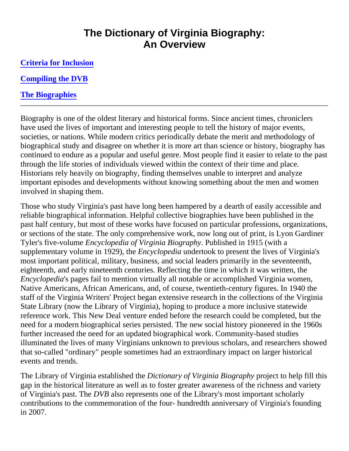# **The Dictionary of Virginia Biography: An Overview**

# **[Criteria for Inclusion](#page-1-0)**

## **[Compiling the DVB](#page-3-0)**

# **[The Biographies](#page-4-0)**

Biography is one of the oldest literary and historical forms. Since ancient times, chroniclers have used the lives of important and interesting people to tell the history of major events, societies, or nations. While modern critics periodically debate the merit and methodology of biographical study and disagree on whether it is more art than science or history, biography has continued to endure as a popular and useful genre. Most people find it easier to relate to the past through the life stories of individuals viewed within the context of their time and place. Historians rely heavily on biography, finding themselves unable to interpret and analyze important episodes and developments without knowing something about the men and women involved in shaping them.

Those who study Virginia's past have long been hampered by a dearth of easily accessible and reliable biographical information. Helpful collective biographies have been published in the past half century, but most of these works have focused on particular professions, organizations, or sections of the state. The only comprehensive work, now long out of print, is Lyon Gardiner Tyler's five-volume *Encyclopedia of Virginia Biography*. Published in 1915 (with a supplementary volume in 1929), the *Encyclopedia* undertook to present the lives of Virginia's most important political, military, business, and social leaders primarily in the seventeenth, eighteenth, and early nineteenth centuries. Reflecting the time in which it was written, the *Encyclopedia*'s pages fail to mention virtually all notable or accomplished Virginia women, Native Americans, African Americans, and, of course, twentieth-century figures. In 1940 the staff of the Virginia Writers' Project began extensive research in the collections of the Virginia State Library (now the Library of Virginia), hoping to produce a more inclusive statewide reference work. This New Deal venture ended before the research could be completed, but the need for a modern biographical series persisted. The new social history pioneered in the 1960s further increased the need for an updated biographical work. Community-based studies illuminated the lives of many Virginians unknown to previous scholars, and researchers showed that so-called "ordinary" people sometimes had an extraordinary impact on larger historical events and trends.

The Library of Virginia established the *Dictionary of Virginia Biography* project to help fill this gap in the historical literature as well as to foster greater awareness of the richness and variety of Virginia's past. The *DVB* also represents one of the Library's most important scholarly contributions to the commemoration of the four- hundredth anniversary of Virginia's founding in 2007.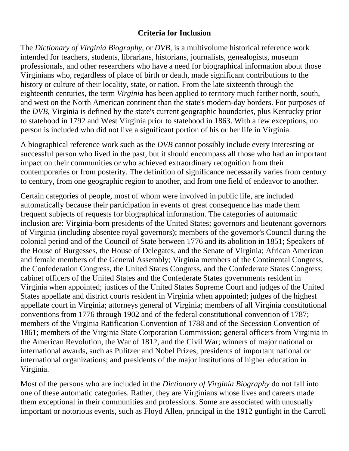#### **Criteria for Inclusion**

<span id="page-1-0"></span>The *Dictionary of Virginia Biography*, or *DVB*, is a multivolume historical reference work intended for teachers, students, librarians, historians, journalists, genealogists, museum professionals, and other researchers who have a need for biographical information about those Virginians who, regardless of place of birth or death, made significant contributions to the history or culture of their locality, state, or nation. From the late sixteenth through the eighteenth centuries, the term *Virginia* has been applied to territory much farther north, south, and west on the North American continent than the state's modern-day borders. For purposes of the *DVB*, Virginia is defined by the state's current geographic boundaries, plus Kentucky prior to statehood in 1792 and West Virginia prior to statehood in 1863. With a few exceptions, no person is included who did not live a significant portion of his or her life in Virginia.

A biographical reference work such as the *DVB* cannot possibly include every interesting or successful person who lived in the past, but it should encompass all those who had an important impact on their communities or who achieved extraordinary recognition from their contemporaries or from posterity. The definition of significance necessarily varies from century to century, from one geographic region to another, and from one field of endeavor to another.

Certain categories of people, most of whom were involved in public life, are included automatically because their participation in events of great consequence has made them frequent subjects of requests for biographical information. The categories of automatic inclusion are: Virginia-born presidents of the United States; governors and lieutenant governors of Virginia (including absentee royal governors); members of the governor's Council during the colonial period and of the Council of State between 1776 and its abolition in 1851; Speakers of the House of Burgesses, the House of Delegates, and the Senate of Virginia; African American and female members of the General Assembly; Virginia members of the Continental Congress, the Confederation Congress, the United States Congress, and the Confederate States Congress; cabinet officers of the United States and the Confederate States governments resident in Virginia when appointed; justices of the United States Supreme Court and judges of the United States appellate and district courts resident in Virginia when appointed; judges of the highest appellate court in Virginia; attorneys general of Virginia; members of all Virginia constitutional conventions from 1776 through 1902 and of the federal constitutional convention of 1787; members of the Virginia Ratification Convention of 1788 and of the Secession Convention of 1861; members of the Virginia State Corporation Commission; general officers from Virginia in the American Revolution, the War of 1812, and the Civil War; winners of major national or international awards, such as Pulitzer and Nobel Prizes; presidents of important national or international organizations; and presidents of the major institutions of higher education in Virginia.

Most of the persons who are included in the *Dictionary of Virginia Biography* do not fall into one of these automatic categories. Rather, they are Virginians whose lives and careers made them exceptional in their communities and professions. Some are associated with unusually important or notorious events, such as Floyd Allen, principal in the 1912 gunfight in the Carroll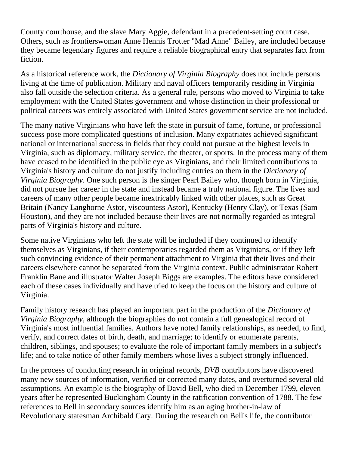County courthouse, and the slave Mary Aggie, defendant in a precedent-setting court case. Others, such as frontierswoman Anne Hennis Trotter "Mad Anne" Bailey, are included because they became legendary figures and require a reliable biographical entry that separates fact from fiction.

As a historical reference work, the *Dictionary of Virginia Biography* does not include persons living at the time of publication. Military and naval officers temporarily residing in Virginia also fall outside the selection criteria. As a general rule, persons who moved to Virginia to take employment with the United States government and whose distinction in their professional or political careers was entirely associated with United States government service are not included.

The many native Virginians who have left the state in pursuit of fame, fortune, or professional success pose more complicated questions of inclusion. Many expatriates achieved significant national or international success in fields that they could not pursue at the highest levels in Virginia, such as diplomacy, military service, the theater, or sports. In the process many of them have ceased to be identified in the public eye as Virginians, and their limited contributions to Virginia's history and culture do not justify including entries on them in the *Dictionary of Virginia Biography*. One such person is the singer Pearl Bailey who, though born in Virginia, did not pursue her career in the state and instead became a truly national figure. The lives and careers of many other people became inextricably linked with other places, such as Great Britain (Nancy Langhorne Astor, viscountess Astor), Kentucky (Henry Clay), or Texas (Sam Houston), and they are not included because their lives are not normally regarded as integral parts of Virginia's history and culture.

Some native Virginians who left the state will be included if they continued to identify themselves as Virginians, if their contemporaries regarded them as Virginians, or if they left such convincing evidence of their permanent attachment to Virginia that their lives and their careers elsewhere cannot be separated from the Virginia context. Public administrator Robert Franklin Bane and illustrator Walter Joseph Biggs are examples. The editors have considered each of these cases individually and have tried to keep the focus on the history and culture of Virginia.

Family history research has played an important part in the production of the *Dictionary of Virginia Biography,* although the biographies do not contain a full genealogical record of Virginia's most influential families. Authors have noted family relationships, as needed, to find, verify, and correct dates of birth, death, and marriage; to identify or enumerate parents, children, siblings, and spouses; to evaluate the role of important family members in a subject's life; and to take notice of other family members whose lives a subject strongly influenced.

In the process of conducting research in original records, *DVB* contributors have discovered many new sources of information, verified or corrected many dates, and overturned several old assumptions. An example is the biography of David Bell, who died in December 1799, eleven years after he represented Buckingham County in the ratification convention of 1788. The few references to Bell in secondary sources identify him as an aging brother-in-law of Revolutionary statesman Archibald Cary. During the research on Bell's life, the contributor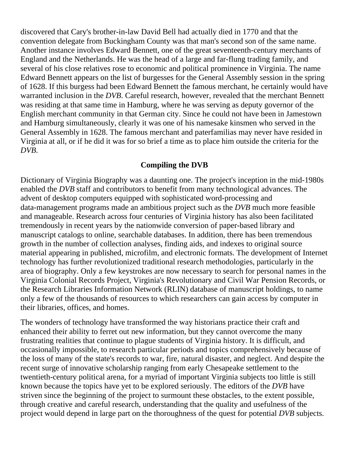discovered that Cary's brother-in-law David Bell had actually died in 1770 and that the convention delegate from Buckingham County was that man's second son of the same name. Another instance involves Edward Bennett, one of the great seventeenth-century merchants of England and the Netherlands. He was the head of a large and far-flung trading family, and several of his close relatives rose to economic and political prominence in Virginia. The name Edward Bennett appears on the list of burgesses for the General Assembly session in the spring of 1628. If this burgess had been Edward Bennett the famous merchant, he certainly would have warranted inclusion in the *DVB*. Careful research, however, revealed that the merchant Bennett was residing at that same time in Hamburg, where he was serving as deputy governor of the English merchant community in that German city. Since he could not have been in Jamestown and Hamburg simultaneously, clearly it was one of his namesake kinsmen who served in the General Assembly in 1628. The famous merchant and paterfamilias may never have resided in Virginia at all, or if he did it was for so brief a time as to place him outside the criteria for the *DVB*.

## **Compiling the DVB**

<span id="page-3-0"></span>Dictionary of Virginia Biography was a daunting one. The project's inception in the mid-1980s enabled the *DVB* staff and contributors to benefit from many technological advances. The advent of desktop computers equipped with sophisticated word-processing and data-management programs made an ambitious project such as the *DVB* much more feasible and manageable. Research across four centuries of Virginia history has also been facilitated tremendously in recent years by the nationwide conversion of paper-based library and manuscript catalogs to online, searchable databases. In addition, there has been tremendous growth in the number of collection analyses, finding aids, and indexes to original source material appearing in published, microfilm, and electronic formats. The development of Internet technology has further revolutionized traditional research methodologies, particularly in the area of biography. Only a few keystrokes are now necessary to search for personal names in the Virginia Colonial Records Project, Virginia's Revolutionary and Civil War Pension Records, or the Research Libraries Information Network (RLIN) database of manuscript holdings, to name only a few of the thousands of resources to which researchers can gain access by computer in their libraries, offices, and homes.

The wonders of technology have transformed the way historians practice their craft and enhanced their ability to ferret out new information, but they cannot overcome the many frustrating realities that continue to plague students of Virginia history. It is difficult, and occasionally impossible, to research particular periods and topics comprehensively because of the loss of many of the state's records to war, fire, natural disaster, and neglect. And despite the recent surge of innovative scholarship ranging from early Chesapeake settlement to the twentieth-century political arena, for a myriad of important Virginia subjects too little is still known because the topics have yet to be explored seriously. The editors of the *DVB* have striven since the beginning of the project to surmount these obstacles, to the extent possible, through creative and careful research, understanding that the quality and usefulness of the project would depend in large part on the thoroughness of the quest for potential *DVB* subjects.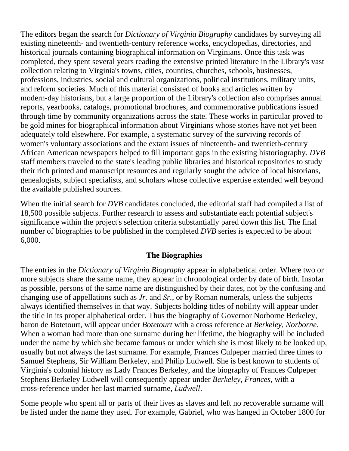The editors began the search for *Dictionary of Virginia Biography* candidates by surveying all existing nineteenth- and twentieth-century reference works, encyclopedias, directories, and historical journals containing biographical information on Virginians. Once this task was completed, they spent several years reading the extensive printed literature in the Library's vast collection relating to Virginia's towns, cities, counties, churches, schools, businesses, professions, industries, social and cultural organizations, political institutions, military units, and reform societies. Much of this material consisted of books and articles written by modern-day historians, but a large proportion of the Library's collection also comprises annual reports, yearbooks, catalogs, promotional brochures, and commemorative publications issued through time by community organizations across the state. These works in particular proved to be gold mines for biographical information about Virginians whose stories have not yet been adequately told elsewhere. For example, a systematic survey of the surviving records of women's voluntary associations and the extant issues of nineteenth- and twentieth-century African American newspapers helped to fill important gaps in the existing historiography. *DVB* staff members traveled to the state's leading public libraries and historical repositories to study their rich printed and manuscript resources and regularly sought the advice of local historians, genealogists, subject specialists, and scholars whose collective expertise extended well beyond the available published sources.

When the initial search for *DVB* candidates concluded, the editorial staff had compiled a list of 18,500 possible subjects. Further research to assess and substantiate each potential subject's significance within the project's selection criteria substantially pared down this list. The final number of biographies to be published in the completed *DVB* series is expected to be about 6,000.

## **The Biographies**

<span id="page-4-0"></span>The entries in the *Dictionary of Virginia Biography* appear in alphabetical order. Where two or more subjects share the same name, they appear in chronological order by date of birth. Insofar as possible, persons of the same name are distinguished by their dates, not by the confusing and changing use of appellations such as *Jr.* and *Sr.*, or by Roman numerals, unless the subjects always identified themselves in that way. Subjects holding titles of nobility will appear under the title in its proper alphabetical order. Thus the biography of Governor Norborne Berkeley, baron de Botetourt, will appear under *Botetourt* with a cross reference at *Berkeley, Norborne*. When a woman had more than one surname during her lifetime, the biography will be included under the name by which she became famous or under which she is most likely to be looked up, usually but not always the last surname. For example, Frances Culpeper married three times to Samuel Stephens, Sir William Berkeley, and Philip Ludwell. She is best known to students of Virginia's colonial history as Lady Frances Berkeley, and the biography of Frances Culpeper Stephens Berkeley Ludwell will consequently appear under *Berkeley, Frances*, with a cross-reference under her last married surname, *Ludwell*.

Some people who spent all or parts of their lives as slaves and left no recoverable surname will be listed under the name they used. For example, Gabriel, who was hanged in October 1800 for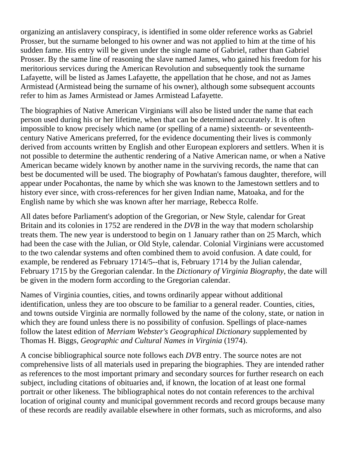organizing an antislavery conspiracy, is identified in some older reference works as Gabriel Prosser, but the surname belonged to his owner and was not applied to him at the time of his sudden fame. His entry will be given under the single name of Gabriel, rather than Gabriel Prosser. By the same line of reasoning the slave named James, who gained his freedom for his meritorious services during the American Revolution and subsequently took the surname Lafayette, will be listed as James Lafayette, the appellation that he chose, and not as James Armistead (Armistead being the surname of his owner), although some subsequent accounts refer to him as James Armistead or James Armistead Lafayette.

The biographies of Native American Virginians will also be listed under the name that each person used during his or her lifetime, when that can be determined accurately. It is often impossible to know precisely which name (or spelling of a name) sixteenth- or seventeenthcentury Native Americans preferred, for the evidence documenting their lives is commonly derived from accounts written by English and other European explorers and settlers. When it is not possible to determine the authentic rendering of a Native American name, or when a Native American became widely known by another name in the surviving records, the name that can best be documented will be used. The biography of Powhatan's famous daughter, therefore, will appear under Pocahontas, the name by which she was known to the Jamestown settlers and to history ever since, with cross-references for her given Indian name, Matoaka, and for the English name by which she was known after her marriage, Rebecca Rolfe.

All dates before Parliament's adoption of the Gregorian, or New Style, calendar for Great Britain and its colonies in 1752 are rendered in the *DVB* in the way that modern scholarship treats them. The new year is understood to begin on 1 January rather than on 25 March, which had been the case with the Julian, or Old Style, calendar. Colonial Virginians were accustomed to the two calendar systems and often combined them to avoid confusion. A date could, for example, be rendered as February 1714/5--that is, February 1714 by the Julian calendar, February 1715 by the Gregorian calendar. In the *Dictionary of Virginia Biography*, the date will be given in the modern form according to the Gregorian calendar.

Names of Virginia counties, cities, and towns ordinarily appear without additional identification, unless they are too obscure to be familiar to a general reader. Counties, cities, and towns outside Virginia are normally followed by the name of the colony, state, or nation in which they are found unless there is no possibility of confusion. Spellings of place-names follow the latest edition of *Merriam Webster's Geographical Dictionary* supplemented by Thomas H. Biggs, *Geographic and Cultural Names in Virginia* (1974).

A concise bibliographical source note follows each *DVB* entry. The source notes are not comprehensive lists of all materials used in preparing the biographies. They are intended rather as references to the most important primary and secondary sources for further research on each subject, including citations of obituaries and, if known, the location of at least one formal portrait or other likeness. The bibliographical notes do not contain references to the archival location of original county and municipal government records and record groups because many of these records are readily available elsewhere in other formats, such as microforms, and also